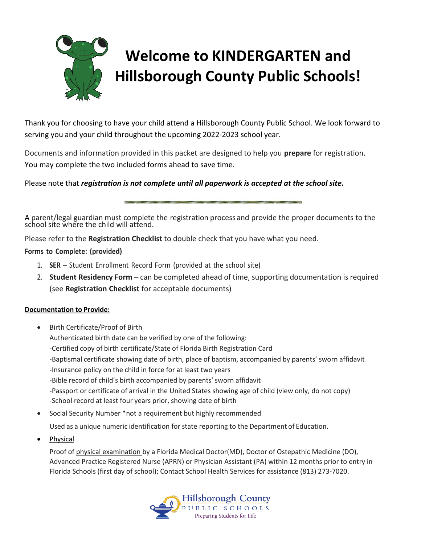# **Welcome to KINDERGARTEN and Hillsborough County Public Schools!**

Thank you for choosing to have your child attend a Hillsborough County Public School. We look forward to serving you and your child throughout the upcoming 2022-2023 school year.

Documents and information provided in this packet are designed to help you **prepare** for registration. You may complete the two included forms ahead to save time.

Please note that *registration is not complete until all paperwork is accepted at the school site.*

A parent/legal guardian must complete the registration process and provide the proper documents to the school site where the child will attend.

Please refer to the **Registration Checklist** to double check that you have what you need.

#### **Forms to Complete: (provided)**

- 1. **SER** Student Enrollment Record Form (provided at the school site)
- 2. **Student Residency Form** can be completed ahead of time, supporting documentation is required (see **Registration Checklist** for acceptable documents)

#### **Documentation to Provide:**

- Birth Certificate/Proof of Birth Authenticated birth date can be verified by one of the following: -Certified copy of birth certificate/State of Florida Birth Registration Card -Baptismal certificate showing date of birth, place of baptism, accompanied by parents' sworn affidavit -Insurance policy on the child in force for at least two years -Bible record of child's birth accompanied by parents' sworn affidavit -Passport or certificate of arrival in the United States showing age of child (view only, do not copy) -School record at least four years prior, showing date of birth
- Social Security Number \*not a requirement but highly recommended

Used as a unique numeric identification for state reporting to the Department of Education.

Physical

Proof of physical examination by a Florida Medical Doctor(MD), Doctor of Ostepathic Medicine (DO), Advanced Practice Registered Nurse (APRN) or Physician Assistant (PA) within 12 months prior to entry in Florida Schools (first day of school); Contact School Health Services for assistance (813) 273-7020.

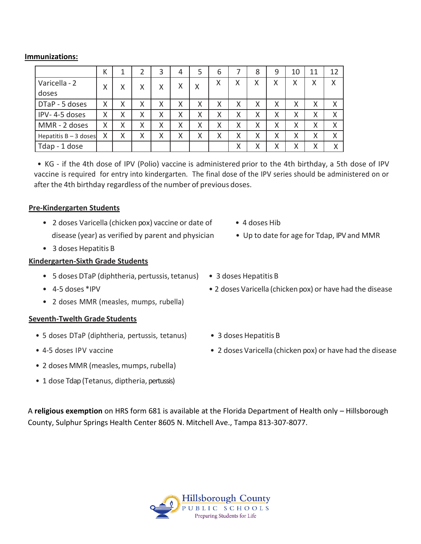#### **Immunizations:**

|                         | Κ |   | 2 | 3 | 4 | 5 | 6 |   | 8 | 9 | 10     | 11 | 12 |
|-------------------------|---|---|---|---|---|---|---|---|---|---|--------|----|----|
| Varicella - 2           | χ | X | Χ | X | Χ | Χ | X | Χ | Χ | Χ | Χ      | Χ  | X  |
| doses                   |   |   |   |   |   |   |   |   |   |   |        |    |    |
| DTaP - 5 doses          | Χ | Χ | Χ | Χ | Χ | Χ | Χ | Χ | X | Χ | Χ      | Χ  | Χ  |
| IPV-4-5 doses           | Χ | Χ | Χ | Χ | Χ | Χ | Χ | Χ | X | X | Χ      | Χ  | X  |
| MMR - 2 doses           | Χ | Χ | Χ | X | Χ | Χ | Χ | Χ | X | X | Χ      | Χ  | X  |
| Hepatitis $B - 3$ doses | X | Χ | Χ | Χ | Χ | Χ | Χ | Χ | X | Χ | Χ      | Χ  | X  |
| Tdap - 1 dose           |   |   |   |   |   |   |   | Χ | Χ | X | v<br>л | Χ  | X  |

• KG - if the 4th dose of IPV (Polio) vaccine is administered prior to the 4th birthday, a 5th dose of IPV vaccine is required for entry into kindergarten. The final dose of the IPV series should be administered on or after the 4th birthday regardless of the number of previous doses.

#### **Pre-Kindergarten Students**

- 2 doses Varicella (chicken pox) vaccine or date of 4 doses Hib disease (year) as verified by parent and physician • Up to date for age for Tdap, IPVand MMR
- 3 doses Hepatitis B

#### **Kindergarten-Sixth Grade Students**

- 5 doses DTaP (diphtheria, pertussis, tetanus) 3 doses Hepatitis B
- 
- 2 doses MMR (measles, mumps, rubella)

#### **Seventh-Twelth Grade Students**

- 5 doses DTaP (diphtheria, pertussis, tetanus) 3 doses Hepatitis B
- 
- 2 doses MMR (measles, mumps, rubella)
- 1 dose Tdap (Tetanus, diptheria, pertussis)
- 
- 
- 
- 4-5 doses \*IPV 2 doses Varicella (chicken pox) or have had the disease
	-
- 4-5 doses IPV vaccine 2 doses Varicella (chicken pox) or have had the disease

A **religious exemption** on HRS form 681 is available at the Florida Department of Health only – Hillsborough County, Sulphur Springs Health Center 8605 N. Mitchell Ave., Tampa 813-307-8077.

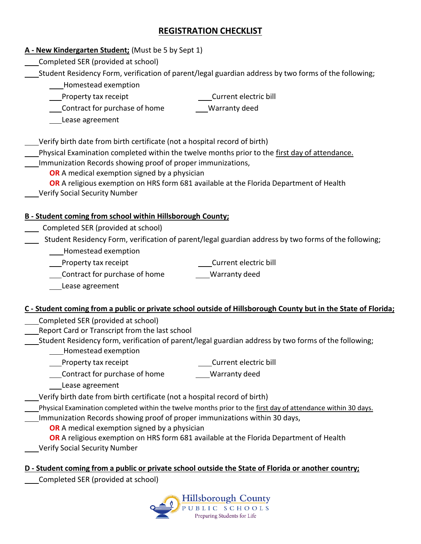# **REGISTRATION CHECKLIST**

### **A - New Kindergarten Student;** (Must be 5 by Sept 1)

Completed SER (provided at school)

Student Residency Form, verification of parent/legal guardian address by two forms of the following;

- Homestead exemption
- **Novelle Theory Contract**

Current electric bill

Warranty deed

Contract for purchase of home

Lease agreement

Verify birth date from birth certificate (not a hospital record of birth)

- Physical Examination completed within the twelve months prior to the first day of attendance.
- Immunization Records showing proof of proper immunizations,

**OR** A medical exemption signed by a physician

- **OR** A religious exemption on HRS form 681 available at the Florida Department of Health
- Verify Social Security Number

## **B - Student coming from school within Hillsborough County;**

- Completed SER (provided at school)
- Student Residency Form, verification of parent/legal guardian address by two forms of the following;
	- Homestead exemption
	- Property tax receipt Current electric bill
		- Contract for purchase of home Warranty deed

- 
- Lease agreement

## **C - Student coming from a public or private school outside of Hillsborough County but in the State of Florida;**

- Completed SER (provided at school)
- Report Card or Transcript from the last school
- Student Residency form, verification of parent/legal guardian address by two forms of the following;
	- **\_\_\_\_Homestead exemption**
	- Property tax receipt Current electric bill
		-
	- **Contract for purchase of home** Warranty deed
		- Lease agreement
- Verify birth date from birth certificate (not a hospital record of birth)
- Physical Examination completed within the twelve months prior to the first day of attendance within 30 days.
	- Immunization Records showing proof of proper immunizations within 30 days,
		- **OR** A medical exemption signed by a physician
		- **OR** A religious exemption on HRS form 681 available at the Florida Department of Health
	- Verify Social Security Number

## **D - Student coming from a public or private school outside the State of Florida or another country;**

Completed SER (provided at school)